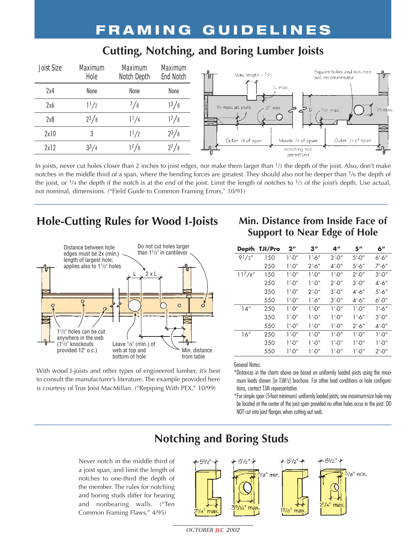### **FRAMING GUIDELINES**

#### **Cutting, Notching, and Boring Lumber Joists**

| <b>Joist Size</b> | <b>Maximum</b><br>Hole | <b>Maximum</b><br>Notch Depth | <b>Maximum</b><br><b>End Notch</b> | Square holes and notches<br>Max. length = $\frac{6}{3}$ .<br>ிர<br>not recommended | ਾ"ਾ              |
|-------------------|------------------------|-------------------------------|------------------------------------|------------------------------------------------------------------------------------|------------------|
| 2x4               | None                   | None                          | None                               | Vulmax.                                                                            |                  |
| 2x6               | $1^{1/2}$              | <b>78</b>                     | $1^3/8$                            | $\frac{1}{4}$ max. at ends<br>$2n$ min.<br>כי<br>۔ ط<br>$p/s$ max.<br>∽<br>ິ       |                  |
| 2x8               | $2^{3}/8$              | $1^{1/4}$                     | $1^7/8$                            |                                                                                    |                  |
| 2x10              |                        | $1^{1/2}$                     | $2^{3}/8$                          | Outer 73 of span<br>Miadle 73 of span:                                             | Outer 13 of span |
| 2x12              | $3^{3}/4$              | 17/8                          | $2^{7}/8$                          | notching not<br>permitted                                                          |                  |

In joists, never cut holes closer than 2 inches to joist edges, nor make them larger than 1/3 the depth of the joist. Also, don't make notches in the middle third of a span, where the bending forces are greatest. They should also not be deeper than 1/6 the depth of the joist, or  $\frac{1}{4}$  the depth if the notch is at the end of the joist. Limit the length of notches to  $\frac{1}{3}$  of the joist's depth. Use actual, not nominal, dimensions. ("Field Guide to Common Framing Errors," 10/91)

### **Hole-Cutting Rules for Wood I-Joists**



With wood I-joists and other types of engineered lumber, it's best to consult the manufacturer's literature. The example provided here is courtesy of Trus Joist MacMillan. ("Repiping With PEX," 10/99)

#### **Min. Distance from Inside Face of Support to Near Edge of Hole**

| <b>Depth</b> | <b>TJI/Pro</b> | $2^{\prime\prime}$ | $3^{\prime\prime}$ | 4"         | 5''        | 6"       |
|--------------|----------------|--------------------|--------------------|------------|------------|----------|
| $9^{1}/2''$  | 150            | $1'$ -0"           | $1'$ -6"           | $3' - 0''$ | $5'$ -0"   | $6'$ -6" |
|              | 250            | $1'$ -0"           | $2' - 6''$         | $4' - 0''$ | $5'$ -6"   | $7'$ -6" |
| $11^{7}/8''$ | 150            | $1'$ -0"           | $1'$ -0"           | $1'$ -0"   | $2'$ -0"   | $3'$ -0" |
|              | 250            | 1'.0''             | 1'.0''             | $2'$ -0"   | $3' - 0''$ | $4'$ -6" |
|              | 350            | $1'$ -0"           | $2'$ -0"           | $3' - 0''$ | $4' - 6''$ | $5'$ -6" |
|              | 550            | $1'$ -0"           | $1'$ -6"           | $3' - 0''$ | $4'$ -6"   | $6'$ -0" |
| 14''         | 250            | $1'$ -0"           | $1'$ -0"           | $1'$ -0"   | $1'$ -0"   | $1'$ -6" |
|              | 350            | 1'.0''             | 1'.0''             | $1'$ -0"   | $1'$ -6"   | $3'$ -0" |
|              | 550            | 1'.0''             | 1'.0''             | 1'.0''     | $2' - 6''$ | $4'$ -0" |
| 16''         | 250            | $1'$ -0"           | 1'.0''             | $1'$ -0"   | 1'.0''     | 1'.0''   |
|              | 350            | $1'$ -0"           | 1'.0''             | $1'$ -0"   | 1'.0''     | $1'$ -0" |
|              | 550            | 1'.0''             | 1'.0''             | 1'.0''     | $1'$ -0"   | $2'$ -0" |

#### General Notes:

\*Distances in the charts above are based on uniformly loaded joists using the maximum loads shown [in TJM's] brochure. For other load conditions or hole configurations, contact TJM representative.

\*For simple span (5-foot minimum) uniformly loaded joists, one maximum-size hole may be located at the center of the joist span provided no other holes occur in the joist. DO NOT cut into joist flanges when cutting out web.

### **Notching and Boring Studs**

Never notch in the middle third of a joist span, and limit the length of notches to one-third the depth of the member. The rules for notching and boring studs differ for bearing and nonbearing walls. ("Ten Common Framing Flaws," 4/95)



*OCTOBER* **JLC** *2002*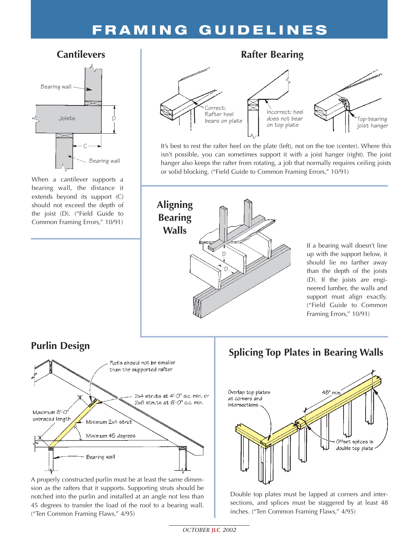## **FRAMING GUIDELINES**

#### **Cantilevers**



When a cantilever supports a bearing wall, the distance it extends beyond its support (C) should not exceed the depth of the joist (D). ("Field Guide to Common Framing Errors," 10/91)



It's best to rest the rafter heel on the plate (left), not on the toe (center). Where this isn't possible, you can sometimes support it with a joist hanger (right). The joist hanger also keeps the rafter from rotating, a job that normally requires ceiling joists or solid blocking. ("Field Guide to Common Framing Errors," 10/91)



#### **Purlin Design**



A properly constructed purlin must be at least the same dimension as the rafters that it supports. Supporting struts should be notched into the purlin and installed at an angle not less than 45 degrees to transfer the load of the roof to a bearing wall. ("Ten Common Framing Flaws," 4/95)

### **Splicing Top Plates in Bearing Walls**



Double top plates must be lapped at corners and intersections, and splices must be staggered by at least 48 inches. ("Ten Common Framing Flaws," 4/95)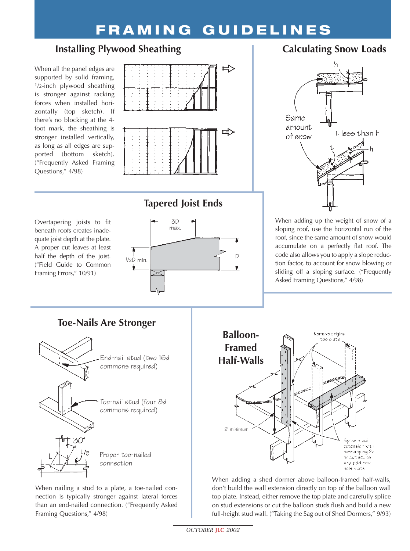# **FRAMING GUIDELINES**

#### **Installing Plywood Sheathing**

When all the panel edges are supported by solid framing,  $1/2$ -inch plywood sheathing is stronger against racking forces when installed horizontally (top sketch). If there's no blocking at the 4 foot mark, the sheathing is stronger installed vertically, as long as all edges are supported (bottom sketch). ("Frequently Asked Framing Questions," 4/98)



#### Overtapering joists to fit beneath roofs creates inadequate joist depth at the plate. A proper cut leaves at least half the depth of the joist. ("Field Guide to Common Framing Errors," 10/91)

#### **Tapered Joist Ends**



### When adding up the weight of snow of a sloping roof, use the horizontal run of the roof, since the same amount of snow would accumulate on a perfectly flat roof. The

t legg than h

code also allows you to apply a slope reduction factor, to account for snow blowing or sliding off a sloping surface. ("Frequently Asked Framing Questions," 4/98)



Proper toe-nailed connection

When nailing a stud to a plate, a toe-nailed connection is typically stronger against lateral forces than an end-nailed connection. ("Frequently Asked Framing Questions," 4/98)



When adding a shed dormer above balloon-framed half-walls, don't build the wall extension directly on top of the balloon wall top plate. Instead, either remove the top plate and carefully splice on stud extensions or cut the balloon studs flush and build a new full-height stud wall. ("Taking the Sag out of Shed Dormers," 9/93)

# **Calculating Snow Loads**

Same amount

of snow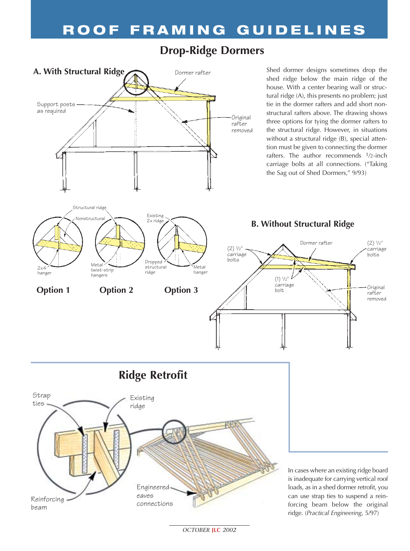### **Drop-Ridge Dormers**



Original rafter removed

(2) 1 /2" carriage bolts

*OCTOBER* **JLC** *2002*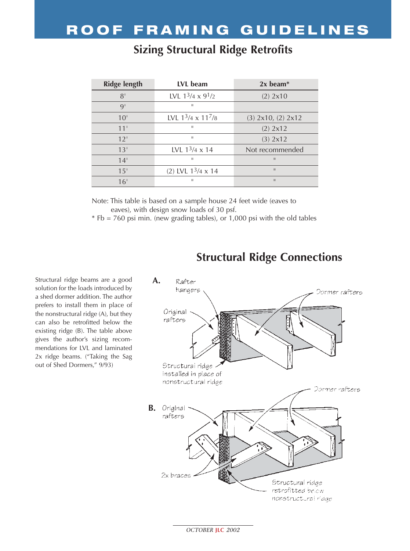| <b>Ridge length</b> | LVL beam                  | $2x$ beam <sup>*</sup> |
|---------------------|---------------------------|------------------------|
| 8'                  | LVL $1^3/4 \times 9^1/2$  | (2) 2x10               |
| 9'                  | $\mathbf{H}$              |                        |
| 10 <sup>1</sup>     | LVL $13/4 \times 117/8$   | $(3)$ 2x10, $(2)$ 2x12 |
| 11'                 | ш                         | (2) 2x12               |
| 12'                 | $\mathbf{H}$              | (3) 2x12               |
| 13 <sup>1</sup>     | LVL $1^3/4 \times 14$     | Not recommended        |
| 14'                 | ш                         | $\mathbf{H}$           |
| 15'                 | (2) LVL $1^3/4 \times 14$ | $\mathbf{H}$           |
| 16 <sup>1</sup>     | $\mathbf{H}$              | $\mathbf{H}$           |

### **Sizing Structural Ridge Retrofits**

Note: This table is based on a sample house 24 feet wide (eaves to eaves), with design snow loads of 30 psf.

\* Fb = 760 psi min. (new grading tables), or 1,000 psi with the old tables

Structural ridge beams are a good solution for the loads introduced by a shed dormer addition. The author prefers to install them in place of the nonstructural ridge (A), but they can also be retrofitted below the existing ridge (B). The table above gives the author's sizing recommendations for LVL and laminated 2x ridge beams. ("Taking the Sag out of Shed Dormers," 9/93)

#### **Structural Ridge Connections**



*OCTOBER* **JLC** *2002*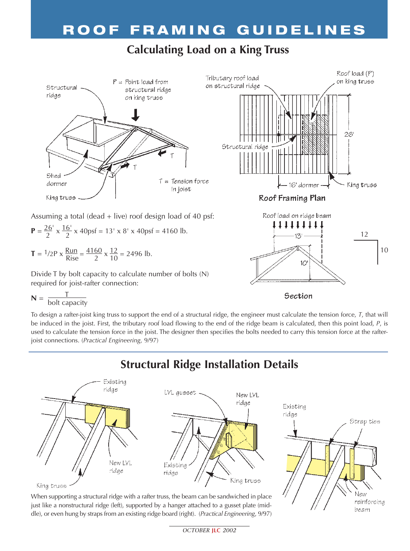### **Calculating Load on a King Truss**



**T** =  $\frac{1}{2}P$  x  $\frac{Run}{Rise} = \frac{4160}{2}$  x  $\frac{12}{10} = 2496$  lb.

Divide T by bolt capacity to calculate number of bolts (N) required for joist-rafter connection:

$$
N = \frac{T}{\text{bolt capacity}}
$$

To design a rafter-joist king truss to support the end of a structural ridge, the engineer must calculate the tension force, *T*, that will be induced in the joist. First, the tributary roof load flowing to the end of the ridge beam is calculated, then this point load, *P*, is used to calculate the tension force in the joist. The designer then specifies the bolts needed to carry this tension force at the rafterjoist connections. (*Practical Engineering*, 9/97)

Section

New reinforcing beam

#### **Structural Ridge Installation Details** Existing ridge LVL queset. New LVL ridge Existing ridge Strap ties New LVL Existing ridge ridge King truss

King truss

When supporting a structural ridge with a rafter truss, the beam can be sandwiched in place just like a nonstructural ridge (left), supported by a hanger attached to a gusset plate (middle), or even hung by straps from an existing ridge board (right). (*Practical Engineering*, 9/97)

*OCTOBER* **JLC** *2002*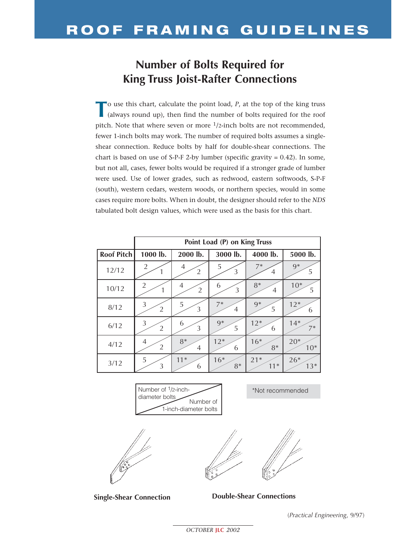### **Number of Bolts Required for King Truss Joist-Rafter Connections**

To use this chart, calculate the point load, *P*, at the top of the king truss (always round up), then find the number of bolts required for the roof pitch. Note that where seven or more 1/2-inch bolts are not recommended, fewer 1-inch bolts may work. The number of required bolts assumes a singleshear connection. Reduce bolts by half for double-shear connections. The chart is based on use of S-P-F 2-by lumber (specific gravity  $= 0.42$ ). In some, but not all, cases, fewer bolts would be required if a stronger grade of lumber were used. Use of lower grades, such as redwood, eastern softwoods, S-P-F (south), western cedars, western woods, or northern species, would in some cases require more bolts. When in doubt, the designer should refer to the *NDS* tabulated bolt design values, which were used as the basis for this chart.

|                   | Point Load (P) on King Truss |                     |                     |           |            |  |  |
|-------------------|------------------------------|---------------------|---------------------|-----------|------------|--|--|
| <b>Roof Pitch</b> | 1000 lb.                     | 2000 lb.            | 3000 lb.            | 4000 lb.  | 5000 lb.   |  |  |
| 12/12             | $\overline{2}$               | 4<br>$\overline{2}$ | 5<br>3              | $7*$<br>4 | $9*$<br>5  |  |  |
| 10/12             | $\overline{2}$               | 4<br>$\overline{2}$ | 6<br>$\mathfrak{Z}$ | $8*$<br>4 | $10*$<br>5 |  |  |
| 8/12              | 3                            | 5                   | $7*$                | $9*$      | $12*$      |  |  |
|                   | $\overline{2}$               | 3                   | 4                   | 5         | 6          |  |  |
| 6/12              | $\mathfrak 3$                | 6                   | $9*$                | $12*$     | $14*$      |  |  |
|                   | $\overline{2}$               | 3                   | 5                   | 6         | $7*$       |  |  |
| 4/12              | $\overline{4}$               | $8*$                | $12*$               | $16*$     | $20*$      |  |  |
|                   | $\sqrt{2}$                   | $\overline{4}$      | 6                   | $8*$      | $10*$      |  |  |
| 3/12              | 5                            | $11*$               | $16*$               | $21*$     | $26*$      |  |  |
|                   | 3                            | 6                   | $8*$                | $11*$     | $13*$      |  |  |

Number of 1/2-inchdiameter bolts Number of 1-inch-diameter bolts





\*Not recommended

**Single-Shear Connection Double-Shear Connections**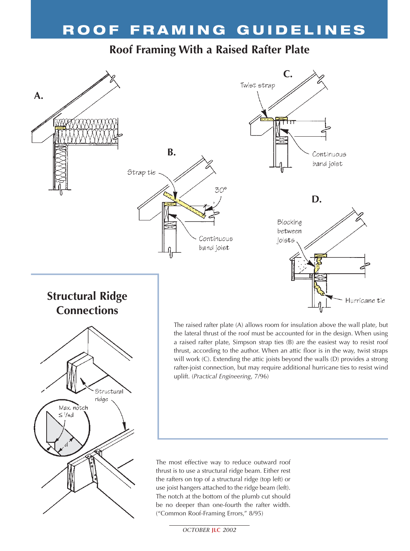### **Roof Framing With a Raised Rafter Plate**





the lateral thrust of the roof must be accounted for in the design. When using a raised rafter plate, Simpson strap ties (B) are the easiest way to resist roof thrust, according to the author. When an attic floor is in the way, twist straps will work (C). Extending the attic joists beyond the walls (D) provides a strong rafter-joist connection, but may require additional hurricane ties to resist wind uplift. (*Practical Engineering*, 7/96)

The most effective way to reduce outward roof thrust is to use a structural ridge beam. Either rest the rafters on top of a structural ridge (top left) or use joist hangers attached to the ridge beam (left). The notch at the bottom of the plumb cut should be no deeper than one-fourth the rafter width. ("Common Roof-Framing Errors," 8/95)